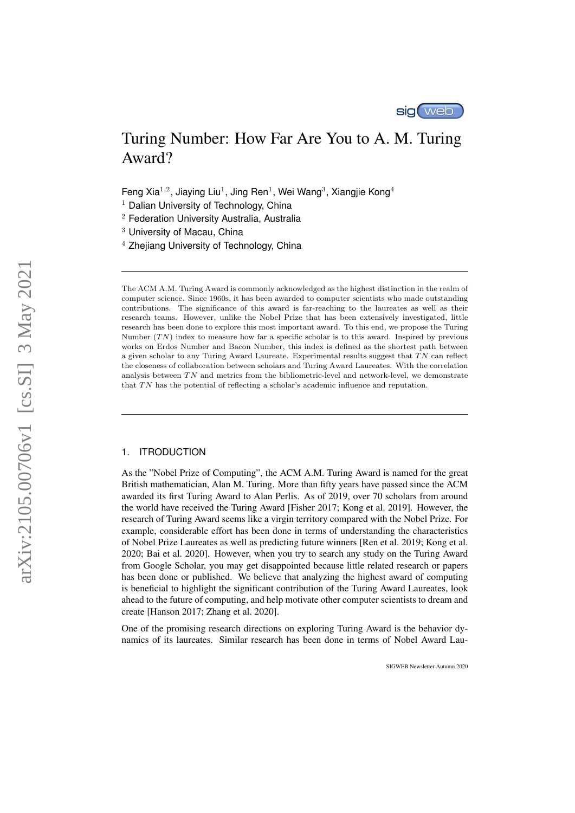

# Turing Number: How Far Are You to A. M. Turing Award?

Feng Xia<sup>1,2</sup>, Jiaying Liu<sup>1</sup>, Jing Ren<sup>1</sup>, Wei Wang<sup>3</sup>, Xiangjie Kong<sup>4</sup>

 $<sup>1</sup>$  Dalian University of Technology, China</sup>

<sup>2</sup> Federation University Australia, Australia

<sup>3</sup> University of Macau, China

<sup>4</sup> Zhejiang University of Technology, China

The ACM A.M. Turing Award is commonly acknowledged as the highest distinction in the realm of computer science. Since 1960s, it has been awarded to computer scientists who made outstanding contributions. The significance of this award is far-reaching to the laureates as well as their research teams. However, unlike the Nobel Prize that has been extensively investigated, little research has been done to explore this most important award. To this end, we propose the Turing Number  $(TN)$  index to measure how far a specific scholar is to this award. Inspired by previous works on Erdos Number and Bacon Number, this index is defined as the shortest path between a given scholar to any Turing Award Laureate. Experimental results suggest that  $TN$  can reflect the closeness of collaboration between scholars and Turing Award Laureates. With the correlation analysis between  $TN$  and metrics from the bibliometric-level and network-level, we demonstrate that  $TN$  has the potential of reflecting a scholar's academic influence and reputation.

# 1. ITRODUCTION

As the "Nobel Prize of Computing", the ACM A.M. Turing Award is named for the great British mathematician, Alan M. Turing. More than fifty years have passed since the ACM awarded its first Turing Award to Alan Perlis. As of 2019, over 70 scholars from around the world have received the Turing Award [Fisher 2017; Kong et al. 2019]. However, the research of Turing Award seems like a virgin territory compared with the Nobel Prize. For example, considerable effort has been done in terms of understanding the characteristics of Nobel Prize Laureates as well as predicting future winners [Ren et al. 2019; Kong et al. 2020; Bai et al. 2020]. However, when you try to search any study on the Turing Award from Google Scholar, you may get disappointed because little related research or papers has been done or published. We believe that analyzing the highest award of computing is beneficial to highlight the significant contribution of the Turing Award Laureates, look ahead to the future of computing, and help motivate other computer scientists to dream and create [Hanson 2017; Zhang et al. 2020].

One of the promising research directions on exploring Turing Award is the behavior dynamics of its laureates. Similar research has been done in terms of Nobel Award Lau-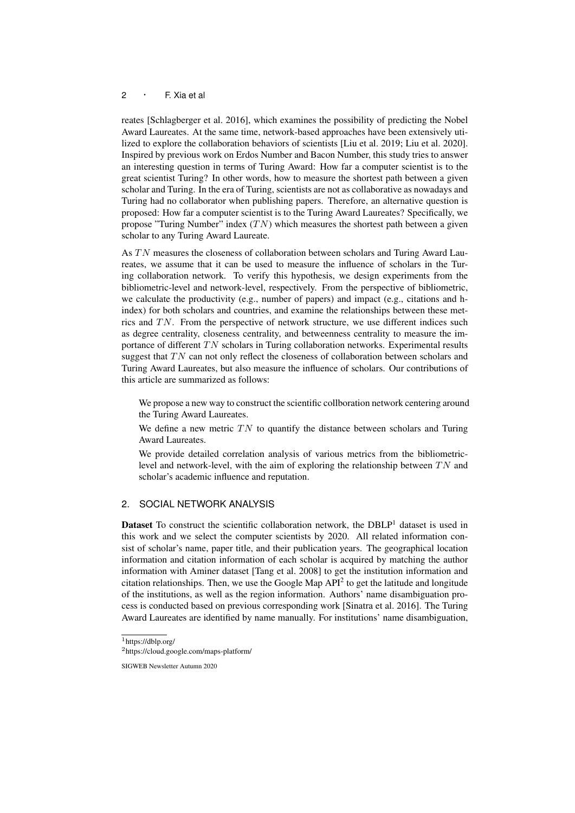## $2 \cdot F$ . Xia et al.

reates [Schlagberger et al. 2016], which examines the possibility of predicting the Nobel Award Laureates. At the same time, network-based approaches have been extensively utilized to explore the collaboration behaviors of scientists [Liu et al. 2019; Liu et al. 2020]. Inspired by previous work on Erdos Number and Bacon Number, this study tries to answer an interesting question in terms of Turing Award: How far a computer scientist is to the great scientist Turing? In other words, how to measure the shortest path between a given scholar and Turing. In the era of Turing, scientists are not as collaborative as nowadays and Turing had no collaborator when publishing papers. Therefore, an alternative question is proposed: How far a computer scientist is to the Turing Award Laureates? Specifically, we propose "Turing Number" index  $(TN)$  which measures the shortest path between a given scholar to any Turing Award Laureate.

As TN measures the closeness of collaboration between scholars and Turing Award Laureates, we assume that it can be used to measure the influence of scholars in the Turing collaboration network. To verify this hypothesis, we design experiments from the bibliometric-level and network-level, respectively. From the perspective of bibliometric, we calculate the productivity (e.g., number of papers) and impact (e.g., citations and hindex) for both scholars and countries, and examine the relationships between these metrics and  $TN$ . From the perspective of network structure, we use different indices such as degree centrality, closeness centrality, and betweenness centrality to measure the importance of different  $TN$  scholars in Turing collaboration networks. Experimental results suggest that  $TN$  can not only reflect the closeness of collaboration between scholars and Turing Award Laureates, but also measure the influence of scholars. Our contributions of this article are summarized as follows:

We propose a new way to construct the scientific collboration network centering around the Turing Award Laureates.

We define a new metric  $TN$  to quantify the distance between scholars and Turing Award Laureates.

We provide detailed correlation analysis of various metrics from the bibliometriclevel and network-level, with the aim of exploring the relationship between  $TN$  and scholar's academic influence and reputation.

## 2. SOCIAL NETWORK ANALYSIS

**Dataset** To construct the scientific collaboration network, the  $DBLP<sup>1</sup>$  dataset is used in this work and we select the computer scientists by 2020. All related information consist of scholar's name, paper title, and their publication years. The geographical location information and citation information of each scholar is acquired by matching the author information with Aminer dataset [Tang et al. 2008] to get the institution information and citation relationships. Then, we use the Google Map  $API<sup>2</sup>$  to get the latitude and longitude of the institutions, as well as the region information. Authors' name disambiguation process is conducted based on previous corresponding work [Sinatra et al. 2016]. The Turing Award Laureates are identified by name manually. For institutions' name disambiguation,

<sup>1</sup>https://dblp.org/

<sup>2</sup>https://cloud.google.com/maps-platform/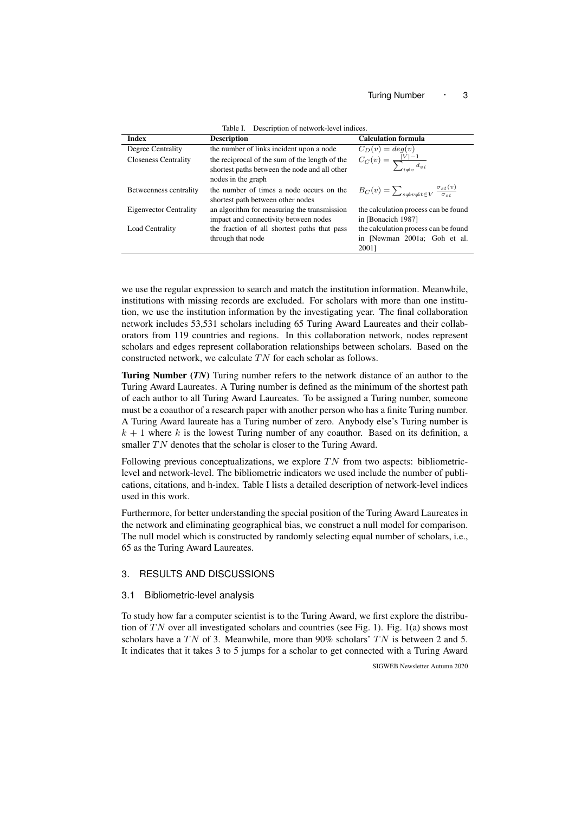| <b>Index</b>                | <b>Description</b>                                                                                                    | <b>Calculation formula</b>                                                 |  |  |  |  |
|-----------------------------|-----------------------------------------------------------------------------------------------------------------------|----------------------------------------------------------------------------|--|--|--|--|
| Degree Centrality           | the number of links incident upon a node                                                                              | $C_D(v) = deg(v)$                                                          |  |  |  |  |
| <b>Closeness Centrality</b> | the reciprocal of the sum of the length of the<br>shortest paths between the node and all other<br>nodes in the graph | $C_C(v) = \frac{ V  - 1}{\sum_{i \neq v} d_{vi}}$                          |  |  |  |  |
| Betweenness centrality      | the number of times a node occurs on the<br>shortest path between other nodes                                         | $B_C(v) = \sum_{s \neq v \neq t \in V} \frac{\sigma_{st}(v)}{\sigma_{st}}$ |  |  |  |  |
| Eigenvector Centrality      | an algorithm for measuring the transmission                                                                           | the calculation process can be found                                       |  |  |  |  |
|                             | impact and connectivity between nodes                                                                                 | in [Bonacich 1987]                                                         |  |  |  |  |
| Load Centrality             | the fraction of all shortest paths that pass                                                                          | the calculation process can be found                                       |  |  |  |  |
|                             | through that node                                                                                                     | in [Newman 2001a; Goh et al.                                               |  |  |  |  |
|                             |                                                                                                                       | 20011                                                                      |  |  |  |  |

Table I. Description of network-level indices.

we use the regular expression to search and match the institution information. Meanwhile, institutions with missing records are excluded. For scholars with more than one institution, we use the institution information by the investigating year. The final collaboration network includes 53,531 scholars including 65 Turing Award Laureates and their collaborators from 119 countries and regions. In this collaboration network, nodes represent scholars and edges represent collaboration relationships between scholars. Based on the constructed network, we calculate  $TN$  for each scholar as follows.

Turing Number (*TN*) Turing number refers to the network distance of an author to the Turing Award Laureates. A Turing number is defined as the minimum of the shortest path of each author to all Turing Award Laureates. To be assigned a Turing number, someone must be a coauthor of a research paper with another person who has a finite Turing number. A Turing Award laureate has a Turing number of zero. Anybody else's Turing number is  $k + 1$  where k is the lowest Turing number of any coauthor. Based on its definition, a smaller  $TN$  denotes that the scholar is closer to the Turing Award.

Following previous conceptualizations, we explore  $TN$  from two aspects: bibliometriclevel and network-level. The bibliometric indicators we used include the number of publications, citations, and h-index. Table I lists a detailed description of network-level indices used in this work.

Furthermore, for better understanding the special position of the Turing Award Laureates in the network and eliminating geographical bias, we construct a null model for comparison. The null model which is constructed by randomly selecting equal number of scholars, i.e., 65 as the Turing Award Laureates.

# 3. RESULTS AND DISCUSSIONS

### 3.1 Bibliometric-level analysis

To study how far a computer scientist is to the Turing Award, we first explore the distribution of  $TN$  over all investigated scholars and countries (see Fig. 1). Fig. 1(a) shows most scholars have a TN of 3. Meanwhile, more than 90% scholars' TN is between 2 and 5. It indicates that it takes 3 to 5 jumps for a scholar to get connected with a Turing Award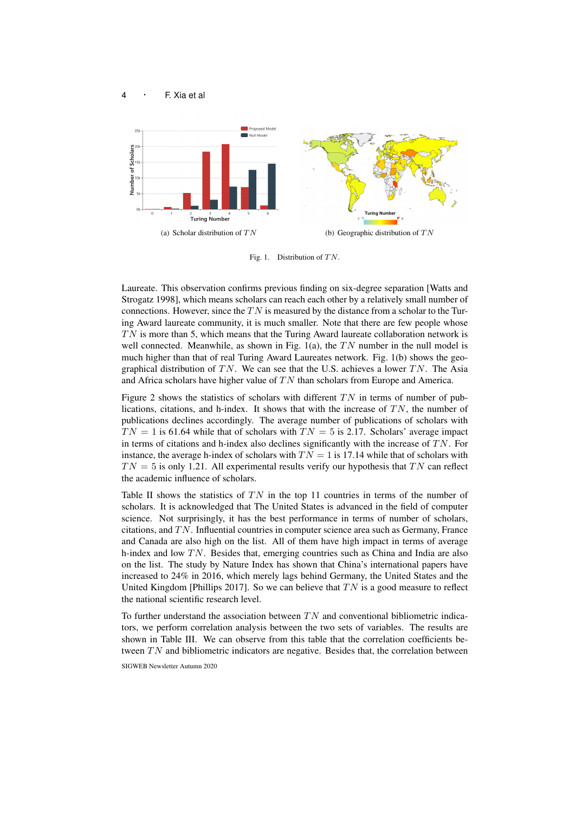



Fig. 1. Distribution of  $TN$ .

Laureate. This observation confirms previous finding on six-degree separation [Watts and Strogatz 1998], which means scholars can reach each other by a relatively small number of connections. However, since the  $TN$  is measured by the distance from a scholar to the Turing Award laureate community, it is much smaller. Note that there are few people whose  $TN$  is more than 5, which means that the Turing Award laureate collaboration network is well connected. Meanwhile, as shown in Fig. 1(a), the  $TN$  number in the null model is much higher than that of real Turing Award Laureates network. Fig. 1(b) shows the geographical distribution of TN. We can see that the U.S. achieves a lower TN. The Asia and Africa scholars have higher value of  $TN$  than scholars from Europe and America.

Figure 2 shows the statistics of scholars with different  $TN$  in terms of number of publications, citations, and h-index. It shows that with the increase of  $TN$ , the number of publications declines accordingly. The average number of publications of scholars with  $TN = 1$  is 61.64 while that of scholars with  $TN = 5$  is 2.17. Scholars' average impact in terms of citations and h-index also declines significantly with the increase of  $TN$ . For instance, the average h-index of scholars with  $TN = 1$  is 17.14 while that of scholars with  $TN = 5$  is only 1.21. All experimental results verify our hypothesis that TN can reflect the academic influence of scholars.

Table II shows the statistics of  $TN$  in the top 11 countries in terms of the number of scholars. It is acknowledged that The United States is advanced in the field of computer science. Not surprisingly, it has the best performance in terms of number of scholars, citations, and  $TN$ . Influential countries in computer science area such as Germany, France and Canada are also high on the list. All of them have high impact in terms of average h-index and low  $TN$ . Besides that, emerging countries such as China and India are also on the list. The study by Nature Index has shown that China's international papers have increased to 24% in 2016, which merely lags behind Germany, the United States and the United Kingdom [Phillips 2017]. So we can believe that  $TN$  is a good measure to reflect the national scientific research level.

To further understand the association between  $TN$  and conventional bibliometric indicators, we perform correlation analysis between the two sets of variables. The results are shown in Table III. We can observe from this table that the correlation coefficients between  $TN$  and bibliometric indicators are negative. Besides that, the correlation between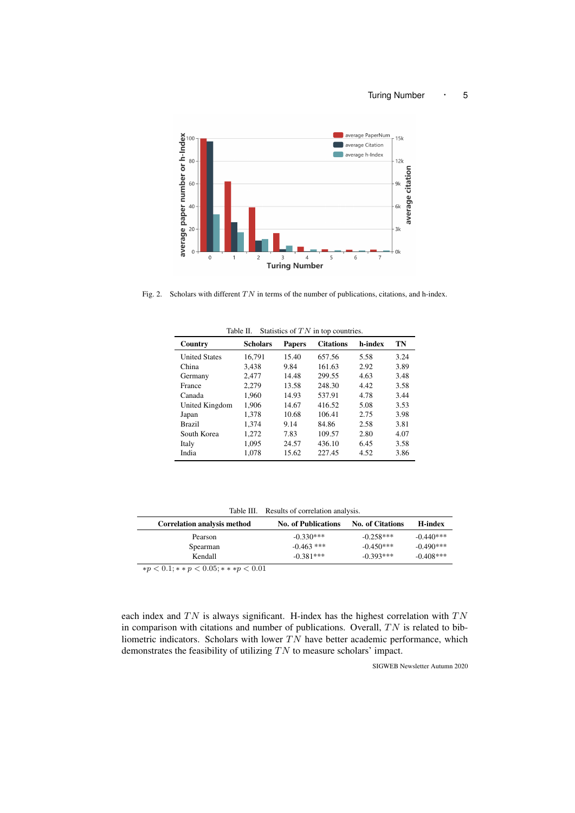

Fig. 2. Scholars with different  $TN$  in terms of the number of publications, citations, and h-index.

| Country              | <b>Scholars</b> | <b>Papers</b> | <b>Citations</b> | h-index | TN   |
|----------------------|-----------------|---------------|------------------|---------|------|
| <b>United States</b> | 16.791          | 15.40         | 657.56           | 5.58    | 3.24 |
| China                | 3.438           | 9.84          | 161.63           | 2.92    | 3.89 |
| Germany              | 2.477           | 14.48         | 299.55           | 4.63    | 3.48 |
| France               | 2.279           | 13.58         | 248.30           | 4.42    | 3.58 |
| Canada               | 1.960           | 14.93         | 537.91           | 4.78    | 3.44 |
| United Kingdom       | 1,906           | 14.67         | 416.52           | 5.08    | 3.53 |
| Japan                | 1.378           | 10.68         | 106.41           | 2.75    | 3.98 |
| <b>Brazil</b>        | 1.374           | 9.14          | 84.86            | 2.58    | 3.81 |
| South Korea          | 1,272           | 7.83          | 109.57           | 2.80    | 4.07 |
| Italy                | 1.095           | 24.57         | 436.10           | 6.45    | 3.58 |
| India                | 1.078           | 15.62         | 227.45           | 4.52    | 3.86 |

Table II. Statistics of  $TN$  in top countries.

| <b>No. of Publications</b> |                         |                 |
|----------------------------|-------------------------|-----------------|
|                            | <b>No. of Citations</b> | <b>H</b> -index |
| $-0.330***$                | $-0.258***$             | $-0.440***$     |
| $-0.463$ ***               | $-0.450***$             | $-0.490***$     |
| $-0.381***$                | $-0.393***$             | $-0.408$ ***    |
|                            |                         |                 |

 $* p < 0.1; * * p < 0.05; * * * p < 0.01$ 

each index and  $TN$  is always significant. H-index has the highest correlation with  $TN$ in comparison with citations and number of publications. Overall,  $TN$  is related to bibliometric indicators. Scholars with lower  $TN$  have better academic performance, which demonstrates the feasibility of utilizing  $TN$  to measure scholars' impact.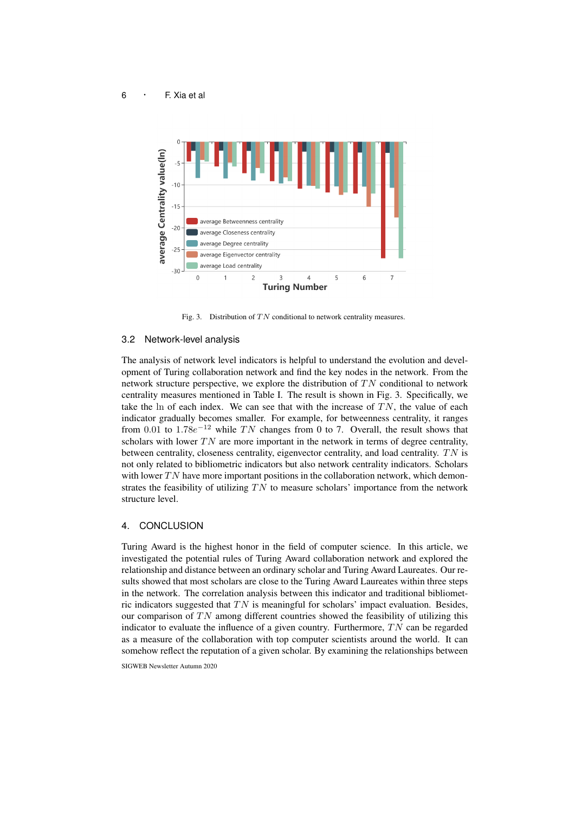

Fig. 3. Distribution of  $TN$  conditional to network centrality measures.

#### 3.2 Network-level analysis

The analysis of network level indicators is helpful to understand the evolution and development of Turing collaboration network and find the key nodes in the network. From the network structure perspective, we explore the distribution of  $TN$  conditional to network centrality measures mentioned in Table I. The result is shown in Fig. 3. Specifically, we take the ln of each index. We can see that with the increase of  $TN$ , the value of each indicator gradually becomes smaller. For example, for betweenness centrality, it ranges from 0.01 to 1.78 $e^{-12}$  while TN changes from 0 to 7. Overall, the result shows that scholars with lower  $TN$  are more important in the network in terms of degree centrality, between centrality, closeness centrality, eigenvector centrality, and load centrality.  $TN$  is not only related to bibliometric indicators but also network centrality indicators. Scholars with lower  $TN$  have more important positions in the collaboration network, which demonstrates the feasibility of utilizing  $TN$  to measure scholars' importance from the network structure level.

# 4. CONCLUSION

Turing Award is the highest honor in the field of computer science. In this article, we investigated the potential rules of Turing Award collaboration network and explored the relationship and distance between an ordinary scholar and Turing Award Laureates. Our results showed that most scholars are close to the Turing Award Laureates within three steps in the network. The correlation analysis between this indicator and traditional bibliometric indicators suggested that  $TN$  is meaningful for scholars' impact evaluation. Besides, our comparison of  $TN$  among different countries showed the feasibility of utilizing this indicator to evaluate the influence of a given country. Furthermore,  $TN$  can be regarded as a measure of the collaboration with top computer scientists around the world. It can somehow reflect the reputation of a given scholar. By examining the relationships between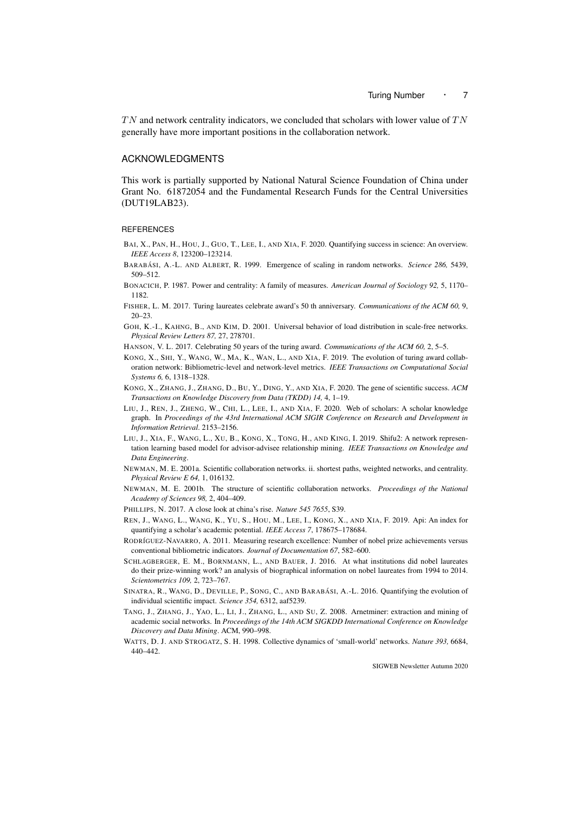$TN$  and network centrality indicators, we concluded that scholars with lower value of  $TN$ generally have more important positions in the collaboration network.

## ACKNOWLEDGMENTS

This work is partially supported by National Natural Science Foundation of China under Grant No. 61872054 and the Fundamental Research Funds for the Central Universities (DUT19LAB23).

#### **REFERENCES**

- BAI, X., PAN, H., HOU, J., GUO, T., LEE, I., AND XIA, F. 2020. Quantifying success in science: An overview. *IEEE Access 8*, 123200–123214.
- BARABÁSI, A.-L. AND ALBERT, R. 1999. Emergence of scaling in random networks. *Science 286*, 5439, 509–512.
- BONACICH, P. 1987. Power and centrality: A family of measures. *American Journal of Sociology 92,* 5, 1170– 1182.
- FISHER, L. M. 2017. Turing laureates celebrate award's 50 th anniversary. *Communications of the ACM 60,* 9, 20–23.
- GOH, K.-I., KAHNG, B., AND KIM, D. 2001. Universal behavior of load distribution in scale-free networks. *Physical Review Letters 87,* 27, 278701.
- HANSON, V. L. 2017. Celebrating 50 years of the turing award. *Communications of the ACM 60,* 2, 5–5.
- KONG, X., SHI, Y., WANG, W., MA, K., WAN, L., AND XIA, F. 2019. The evolution of turing award collaboration network: Bibliometric-level and network-level metrics. *IEEE Transactions on Computational Social Systems 6,* 6, 1318–1328.
- KONG, X., ZHANG, J., ZHANG, D., BU, Y., DING, Y., AND XIA, F. 2020. The gene of scientific success. *ACM Transactions on Knowledge Discovery from Data (TKDD) 14,* 4, 1–19.
- LIU, J., REN, J., ZHENG, W., CHI, L., LEE, I., AND XIA, F. 2020. Web of scholars: A scholar knowledge graph. In *Proceedings of the 43rd International ACM SIGIR Conference on Research and Development in Information Retrieval*. 2153–2156.
- LIU, J., XIA, F., WANG, L., XU, B., KONG, X., TONG, H., AND KING, I. 2019. Shifu2: A network representation learning based model for advisor-advisee relationship mining. *IEEE Transactions on Knowledge and Data Engineering*.
- NEWMAN, M. E. 2001a. Scientific collaboration networks. ii. shortest paths, weighted networks, and centrality. *Physical Review E 64,* 1, 016132.
- NEWMAN, M. E. 2001b. The structure of scientific collaboration networks. *Proceedings of the National Academy of Sciences 98,* 2, 404–409.
- PHILLIPS, N. 2017. A close look at china's rise. *Nature 545 7655*, S39.
- REN, J., WANG, L., WANG, K., YU, S., HOU, M., LEE, I., KONG, X., AND XIA, F. 2019. Api: An index for quantifying a scholar's academic potential. *IEEE Access 7*, 178675–178684.
- RODRÍGUEZ-NAVARRO, A. 2011. Measuring research excellence: Number of nobel prize achievements versus conventional bibliometric indicators. *Journal of Documentation 67*, 582–600.
- SCHLAGBERGER, E. M., BORNMANN, L., AND BAUER, J. 2016. At what institutions did nobel laureates do their prize-winning work? an analysis of biographical information on nobel laureates from 1994 to 2014. *Scientometrics 109,* 2, 723–767.
- SINATRA, R., WANG, D., DEVILLE, P., SONG, C., AND BARABÁSI, A.-L. 2016. Quantifying the evolution of individual scientific impact. *Science 354,* 6312, aaf5239.
- TANG, J., ZHANG, J., YAO, L., LI, J., ZHANG, L., AND SU, Z. 2008. Arnetminer: extraction and mining of academic social networks. In *Proceedings of the 14th ACM SIGKDD International Conference on Knowledge Discovery and Data Mining*. ACM, 990–998.
- WATTS, D. J. AND STROGATZ, S. H. 1998. Collective dynamics of 'small-world' networks. *Nature 393,* 6684, 440–442.